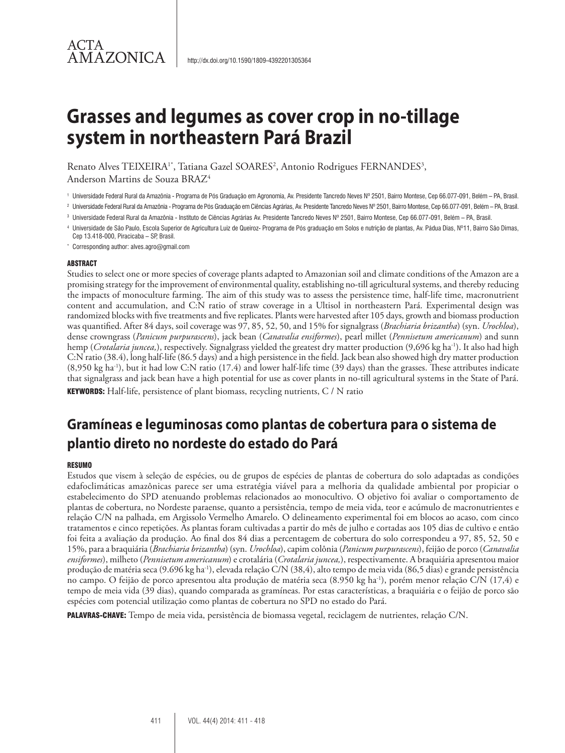### ACTA **AMAZONICA**

# **Grasses and legumes as cover crop in no-tillage system in northeastern Pará Brazil**

Renato Alves TEIXEIRA<sup>1\*</sup>, Tatiana Gazel SOARES<sup>2</sup>, Antonio Rodrigues FERNANDES<sup>3</sup>,

Anderson Martins de Souza BRAZ4

<sup>2</sup> Universidade Federal Rural da Amazônia - Programa de Pós Graduação em Ciências Agrárias, Av. Presidente Tancredo Neves Nº 2501, Bairro Montese, Cep 66.077-091, Belém – PA, Brasil.

\* Corresponding author: alves.agro@gmail.com

#### ABSTRACT

Studies to select one or more species of coverage plants adapted to Amazonian soil and climate conditions of the Amazon are a promising strategy for the improvement of environmental quality, establishing no-till agricultural systems, and thereby reducing the impacts of monoculture farming. The aim of this study was to assess the persistence time, half-life time, macronutrient content and accumulation, and C:N ratio of straw coverage in a Ultisol in northeastern Pará. Experimental design was randomized blocks with five treatments and five replicates. Plants were harvested after 105 days, growth and biomass production was quantified. After 84 days, soil coverage was 97, 85, 52, 50, and 15% for signalgrass (*Brachiaria brizantha*) (syn. *Urochloa*), dense crowngrass (*Panicum purpurascens*), jack bean (*Canavalia ensiformes*), pearl millet (*Pennisetum americanum*) and sunn hemp (*Crotalaria juncea,*), respectively. Signalgrass yielded the greatest dry matter production (9,696 kg ha-1). It also had high C:N ratio (38.4), long half-life (86.5 days) and a high persistence in the field. Jack bean also showed high dry matter production  $(8,950 \text{ kg ha}^{-1})$ , but it had low C:N ratio  $(17.4)$  and lower half-life time  $(39 \text{ days})$  than the grasses. These attributes indicate that signalgrass and jack bean have a high potential for use as cover plants in no-till agricultural systems in the State of Pará.

**KEYWORDS:** Half-life, persistence of plant biomass, recycling nutrients,  $C/N$  ratio

## **Gramíneas e leguminosas como plantas de cobertura para o sistema de plantio direto no nordeste do estado do Pará**

#### **RESUMO**

Estudos que visem à seleção de espécies, ou de grupos de espécies de plantas de cobertura do solo adaptadas as condições edafoclimáticas amazônicas parece ser uma estratégia viável para a melhoria da qualidade ambiental por propiciar o estabelecimento do SPD atenuando problemas relacionados ao monocultivo. O objetivo foi avaliar o comportamento de plantas de cobertura, no Nordeste paraense, quanto a persistência, tempo de meia vida, teor e acúmulo de macronutrientes e relação C/N na palhada, em Argissolo Vermelho Amarelo. O delineamento experimental foi em blocos ao acaso, com cinco tratamentos e cinco repetições. As plantas foram cultivadas a partir do mês de julho e cortadas aos 105 dias de cultivo e então foi feita a avaliação da produção. Ao final dos 84 dias a percentagem de cobertura do solo correspondeu a 97, 85, 52, 50 e 15%, para a braquiária (*Brachiaria brizantha*) (syn. *Urochloa*), capim colônia (*Panicum purpurascens*), feijão de porco (*Canavalia ensiformes*), milheto (*Pennisetum americanum*) e crotalária (*Crotalaria juncea,*), respectivamente. A braquiária apresentou maior produção de matéria seca (9.696 kg ha-1), elevada relação C/N (38,4), alto tempo de meia vida (86,5 dias) e grande persistência no campo. O feijão de porco apresentou alta produção de matéria seca (8.950 kg ha-1), porém menor relação C/N (17,4) e tempo de meia vida (39 dias), quando comparada as gramíneas. Por estas características, a braquiária e o feijão de porco são espécies com potencial utilização como plantas de cobertura no SPD no estado do Pará.

PALAVRAS-CHAVE: Tempo de meia vida, persistência de biomassa vegetal, reciclagem de nutrientes, relação C/N.

<sup>1</sup> Universidade Federal Rural da Amazônia - Programa de Pós Graduação em Agronomia, Av. Presidente Tancredo Neves Nº 2501, Bairro Montese, Cep 66.077-091, Belém – PA, Brasil.

<sup>3</sup> Universidade Federal Rural da Amazônia - Instituto de Ciências Agrárias Av. Presidente Tancredo Neves Nº 2501, Bairro Montese, Cep 66.077-091, Belém – PA, Brasil.

<sup>4</sup> Universidade de São Paulo, Escola Superior de Agricultura Luiz de Queiroz- Programa de Pós graduação em Solos e nutrição de plantas, Av. Pádua Dias, Nº11, Bairro São Dimas, Cep 13.418-000, Piracicaba – SP, Brasil.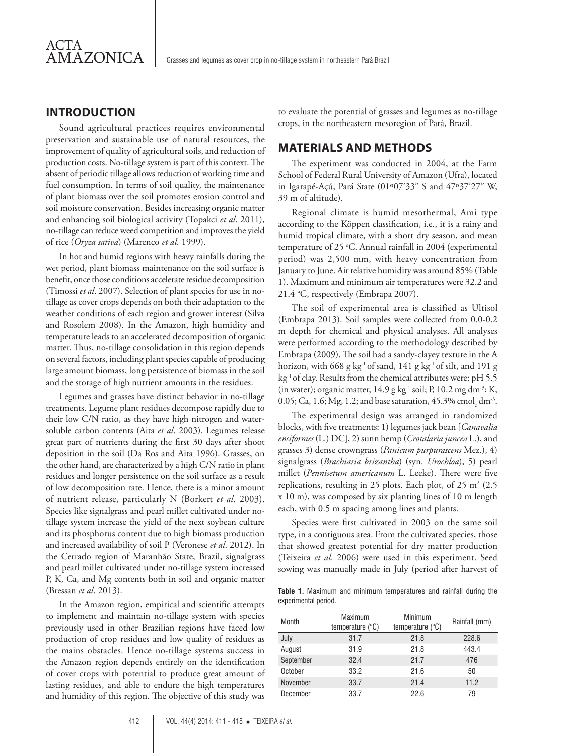#### **INTRODUCTION**

Sound agricultural practices requires environmental preservation and sustainable use of natural resources, the improvement of quality of agricultural soils, and reduction of production costs. No-tillage system is part of this context. The absent of periodic tillage allows reduction of working time and fuel consumption. In terms of soil quality, the maintenance of plant biomass over the soil promotes erosion control and soil moisture conservation. Besides increasing organic matter and enhancing soil biological activity (Topakci *et al*. 2011), no-tillage can reduce weed competition and improves the yield of rice (*Oryza sativa*) (Marenco *et al*. 1999).

In hot and humid regions with heavy rainfalls during the wet period, plant biomass maintenance on the soil surface is benefit, once those conditions accelerate residue decomposition (Timossi *et al*. 2007). Selection of plant species for use in notillage as cover crops depends on both their adaptation to the weather conditions of each region and grower interest (Silva and Rosolem 2008). In the Amazon, high humidity and temperature leads to an accelerated decomposition of organic matter. Thus, no-tillage consolidation in this region depends on several factors, including plant species capable of producing large amount biomass, long persistence of biomass in the soil and the storage of high nutrient amounts in the residues.

Legumes and grasses have distinct behavior in no-tillage treatments. Legume plant residues decompose rapidly due to their low C/N ratio, as they have high nitrogen and watersoluble carbon contents (Aita *et al*. 2003). Legumes release great part of nutrients during the first 30 days after shoot deposition in the soil (Da Ros and Aita 1996). Grasses, on the other hand, are characterized by a high C/N ratio in plant residues and longer persistence on the soil surface as a result of low decomposition rate. Hence, there is a minor amount of nutrient release, particularly N (Borkert *et al*. 2003). Species like signalgrass and pearl millet cultivated under notillage system increase the yield of the next soybean culture and its phosphorus content due to high biomass production and increased availability of soil P (Veronese *et al*. 2012). In the Cerrado region of Maranhão State, Brazil, signalgrass and pearl millet cultivated under no-tillage system increased P, K, Ca, and Mg contents both in soil and organic matter (Bressan *et al*. 2013).

In the Amazon region, empirical and scientific attempts to implement and maintain no-tillage system with species previously used in other Brazilian regions have faced low production of crop residues and low quality of residues as the mains obstacles. Hence no-tillage systems success in the Amazon region depends entirely on the identification of cover crops with potential to produce great amount of lasting residues, and able to endure the high temperatures and humidity of this region. The objective of this study was

to evaluate the potential of grasses and legumes as no-tillage crops, in the northeastern mesoregion of Pará, Brazil.

#### **MATERIALS AND METHODS**

The experiment was conducted in 2004, at the Farm School of Federal Rural University of Amazon (Ufra), located in Igarapé-Açú, Pará State (01º07'33" S and 47º37'27" W, 39 m of altitude).

Regional climate is humid mesothermal, Ami type according to the Köppen classification, i.e., it is a rainy and humid tropical climate, with a short dry season, and mean temperature of 25 °C. Annual rainfall in 2004 (experimental period) was 2,500 mm, with heavy concentration from January to June. Air relative humidity was around 85% (Table 1). Maximum and minimum air temperatures were 32.2 and 21.4 °C, respectively (Embrapa 2007).

The soil of experimental area is classified as Ultisol (Embrapa 2013). Soil samples were collected from 0.0-0.2 m depth for chemical and physical analyses. All analyses were performed according to the methodology described by Embrapa (2009). The soil had a sandy-clayey texture in the A horizon, with 668 g kg<sup>-1</sup> of sand,  $141$  g kg<sup>-1</sup> of silt, and  $191$  g kg<sup>-1</sup> of clay. Results from the chemical attributes were: pH 5.5 (in water); organic matter,  $14.9$  g kg<sup>-1</sup> soil; P,  $10.2$  mg dm<sup>-3</sup>; K, 0.05; Ca, 1.6; Mg, 1.2; and base saturation, 45.3% cmol<sub>c</sub> dm<sup>-3</sup>.

The experimental design was arranged in randomized blocks, with five treatments: 1) legumes jack bean [*Canavalia ensiformes* (L.) DC], 2) sunn hemp (*Crotalaria juncea* L.), and grasses 3) dense crowngrass (*Panicum purpurascens* Mez.), 4) signalgrass (*Brachiaria brizantha*) (syn. *Urochloa*), 5) pearl millet (*Pennisetum americanum* L. Leeke). There were five replications, resulting in 25 plots. Each plot, of 25  $m<sup>2</sup>$  (2.5) x 10 m), was composed by six planting lines of 10 m length each, with 0.5 m spacing among lines and plants.

Species were first cultivated in 2003 on the same soil type, in a contiguous area. From the cultivated species, those that showed greatest potential for dry matter production (Teixeira *et al*. 2006) were used in this experiment. Seed sowing was manually made in July (period after harvest of

**Table 1.** Maximum and minimum temperatures and rainfall during the experimental period.

| Month     | Maximum<br>temperature $(^{\circ}C)$ | Minimum<br>temperature $(^{\circ}C)$ | Rainfall (mm) |
|-----------|--------------------------------------|--------------------------------------|---------------|
| July      | 31.7                                 | 21.8                                 | 228.6         |
| August    | 31.9                                 | 21.8                                 | 443.4         |
| September | 32.4                                 | 21.7                                 | 476           |
| October   | 33.2                                 | 21.6                                 | 50            |
| November  | 33.7                                 | 21.4                                 | 11.2          |
| December  | 33.7                                 | 22.6                                 | 79            |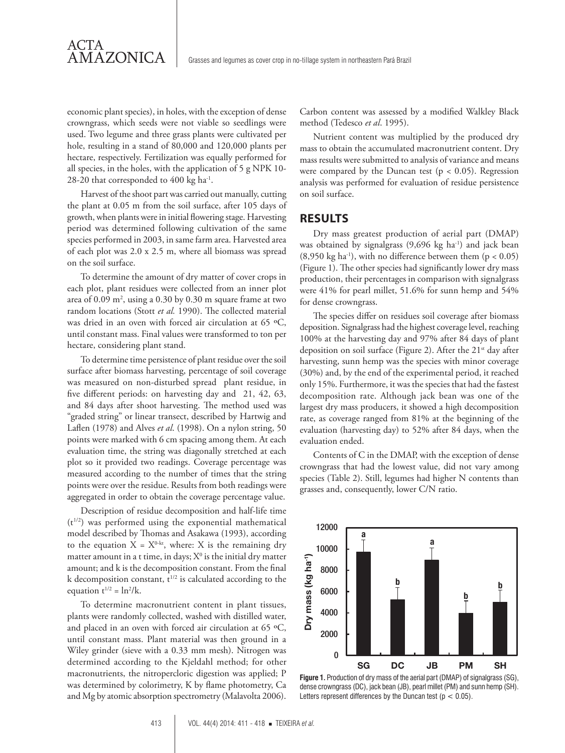economic plant species), in holes, with the exception of dense crowngrass, which seeds were not viable so seedlings were used. Two legume and three grass plants were cultivated per hole, resulting in a stand of 80,000 and 120,000 plants per hectare, respectively. Fertilization was equally performed for all species, in the holes, with the application of 5 g NPK 10- 28-20 that corresponded to 400 kg ha-1.

ACTA

AMAZONICA

Harvest of the shoot part was carried out manually, cutting the plant at 0.05 m from the soil surface, after 105 days of growth, when plants were in initial flowering stage. Harvesting period was determined following cultivation of the same species performed in 2003, in same farm area. Harvested area of each plot was 2.0 x 2.5 m, where all biomass was spread on the soil surface.

To determine the amount of dry matter of cover crops in each plot, plant residues were collected from an inner plot area of  $0.09 \text{ m}^2$ , using a  $0.30 \text{ by } 0.30 \text{ m}$  square frame at two random locations (Stott *et al.* 1990). The collected material was dried in an oven with forced air circulation at 65 ºC, until constant mass. Final values were transformed to ton per hectare, considering plant stand.

To determine time persistence of plant residue over the soil surface after biomass harvesting, percentage of soil coverage was measured on non-disturbed spread plant residue, in five different periods: on harvesting day and 21, 42, 63, and 84 days after shoot harvesting. The method used was "graded string" or linear transect, described by Hartwig and Laflen (1978) and Alves *et al*. (1998). On a nylon string, 50 points were marked with 6 cm spacing among them. At each evaluation time, the string was diagonally stretched at each plot so it provided two readings. Coverage percentage was measured according to the number of times that the string points were over the residue. Results from both readings were aggregated in order to obtain the coverage percentage value.

Description of residue decomposition and half-life time  $(t^{1/2})$  was performed using the exponential mathematical model described by Thomas and Asakawa (1993), according to the equation  $X = X^{0-kt}$ , where: X is the remaining dry matter amount in a t time, in days;  $X^0$  is the initial dry matter amount; and k is the decomposition constant. From the final k decomposition constant,  $t^{1/2}$  is calculated according to the equation  $t^{1/2} = \ln^2/k$ .

To determine macronutrient content in plant tissues, plants were randomly collected, washed with distilled water, and placed in an oven with forced air circulation at 65 °C, until constant mass. Plant material was then ground in a Wiley grinder (sieve with a 0.33 mm mesh). Nitrogen was determined according to the Kjeldahl method; for other macronutrients, the nitropercloric digestion was applied; P was determined by colorimetry, K by flame photometry, Ca and Mg by atomic absorption spectrometry (Malavolta 2006).

Carbon content was assessed by a modified Walkley Black method (Tedesco *et al*. 1995).

Nutrient content was multiplied by the produced dry mass to obtain the accumulated macronutrient content. Dry mass results were submitted to analysis of variance and means were compared by the Duncan test ( $p < 0.05$ ). Regression analysis was performed for evaluation of residue persistence on soil surface.

#### **RESULTS**

Dry mass greatest production of aerial part (DMAP) was obtained by signalgrass  $(9,696 \text{ kg ha}^{-1})$  and jack bean (8,950 kg ha<sup>-1</sup>), with no difference between them ( $p < 0.05$ ) (Figure 1). The other species had significantly lower dry mass production, their percentages in comparison with signalgrass were 41% for pearl millet, 51.6% for sunn hemp and 54% for dense crowngrass.

The species differ on residues soil coverage after biomass deposition. Signalgrass had the highest coverage level, reaching 100% at the harvesting day and 97% after 84 days of plant deposition on soil surface (Figure 2). After the 21<sup>st</sup> day after harvesting, sunn hemp was the species with minor coverage (30%) and, by the end of the experimental period, it reached only 15%. Furthermore, it was the species that had the fastest decomposition rate. Although jack bean was one of the largest dry mass producers, it showed a high decomposition rate, as coverage ranged from 81% at the beginning of the evaluation (harvesting day) to 52% after 84 days, when the evaluation ended.

Contents of C in the DMAP, with the exception of dense crowngrass that had the lowest value, did not vary among species (Table 2). Still, legumes had higher N contents than grasses and, consequently, lower C/N ratio.



**Figure 1.** Production of dry mass of the aerial part (DMAP) of signalgrass (SG), dense crowngrass (DC), jack bean (JB), pearl millet (PM) and sunn hemp (SH). Letters represent differences by the Duncan test ( $p < 0.05$ ).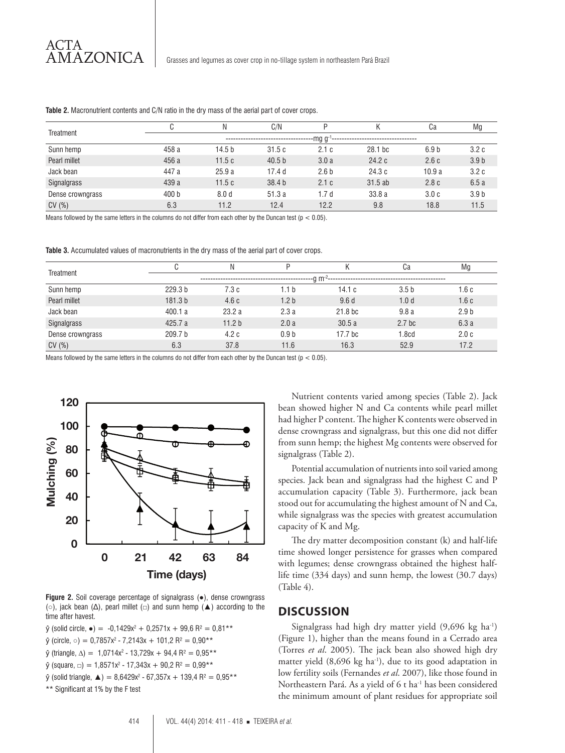| Treatment        |                                                       | Ν                | C/N               | D                |                    | Ca               | Mg               |
|------------------|-------------------------------------------------------|------------------|-------------------|------------------|--------------------|------------------|------------------|
|                  | $-$ mg g $-$<br>'------------------------------------ |                  |                   |                  |                    |                  |                  |
| Sunn hemp        | 458 a                                                 | 14.5 b           | 31.5c             | 2.1c             | 28.1 <sub>bc</sub> | 6.9 <sub>b</sub> | 3.2c             |
| Pearl millet     | 456 a                                                 | 11.5c            | 40.5 <sub>b</sub> | 3.0a             | 24.2c              | 2.6c             | 3.9 <sub>b</sub> |
| Jack bean        | 447 a                                                 | 25.9a            | 17.4 <sub>d</sub> | 2.6 <sub>b</sub> | 24.3c              | 10.9a            | 3.2c             |
| Signalgrass      | 439 a                                                 | 11.5c            | 38.4 <sub>b</sub> | 2.1c             | 31.5ab             | 2.8c             | 6.5a             |
| Dense crowngrass | 400 b                                                 | 8.0 <sub>d</sub> | 51.3a             | 1.7d             | 33.8a              | 3.0 <sub>c</sub> | 3.9 <sub>b</sub> |
| CV(%)            | 6.3                                                   | 11.2             | 12.4              | 12.2             | 9.8                | 18.8             | 11.5             |

**Table 2.** Macronutrient contents and C/N ratio in the dry mass of the aerial part of cover crops.

Means followed by the same letters in the columns do not differ from each other by the Duncan test ( $p < 0.05$ ).

**Table 3.** Accumulated values of macronutrients in the dry mass of the aerial part of cover crops.

| Treatment        |                    | N                                                    | D                |                     | Cа                | Mg               |  |
|------------------|--------------------|------------------------------------------------------|------------------|---------------------|-------------------|------------------|--|
|                  |                    | --a m <sup>-2</sup> -------------------------------- |                  |                     |                   |                  |  |
| Sunn hemp        | 229.3 b            | 7.3c                                                 | 1.1 b            | 14.1c               | 3.5 <sub>b</sub>  | .6 c             |  |
| Pearl millet     | 181.3 <sub>b</sub> | 4.6c                                                 | 1.2 <sub>b</sub> | 9.6d                | 1.0 <sub>d</sub>  | 1.6c             |  |
| Jack bean        | 400.1 a            | 23.2a                                                | 2.3a             | 21.8 <sub>b</sub> c | 9.8a              | 2.9 <sub>b</sub> |  |
| Signalgrass      | 425.7 a            | 11.2 <sub>b</sub>                                    | 2.0a             | 30.5a               | 2.7 <sub>bc</sub> | 6.3a             |  |
| Dense crowngrass | 209.7 <sub>b</sub> | 4.2c                                                 | 0.9 <sub>b</sub> | 17.7 <sub>bc</sub>  | 1.8cd             | 2.0c             |  |
| CV(%)            | 6.3                | 37.8                                                 | 11.6             | 16.3                | 52.9              | 17.2             |  |

Means followed by the same letters in the columns do not differ from each other by the Duncan test ( $p < 0.05$ ).



**Figure 2.** Soil coverage percentage of signalgrass (●), dense crowngrass (○), jack bean (∆), pearl millet (□) and sunn hemp (▲) according to the time after havest.

 $\hat{y}$  (solid circle,  $\bullet$ ) = −0,1429x² + 0,2571x + 99,6 R² = 0,81\*\*

 $\hat{\mathsf{y}}$  (circle,  $\circ$ ) = 0,7857x² - 7,2143x + 101,2 Rª = 0,90\*\*

ŷ (triangle, ∆) = 1,0714x2 - 13,729x + 94,4 R² = 0,95\*\*

 $\hat{\bm{\mathsf{y}}}$  (square,  $\bm{\mathsf{d}})=1{,}8571{\text{x}}^2$  -  $17{,}343{\text{x}}$  +  $90{,}2$  R $^2=0{,}99$ \*\*

$$
\hat{y}
$$
 (solid triangle,  $\triangle$ ) = 8,6429x<sup>2</sup> - 67,357x + 139,4 R<sup>2</sup> = 0,95\*\*

\*\* Significant at 1% by the F test

Nutrient contents varied among species (Table 2). Jack bean showed higher N and Ca contents while pearl millet had higher P content. The higher K contents were observed in dense crowngrass and signalgrass, but this one did not differ from sunn hemp; the highest Mg contents were observed for signalgrass (Table 2).

Potential accumulation of nutrients into soil varied among species. Jack bean and signalgrass had the highest C and P accumulation capacity (Table 3). Furthermore, jack bean stood out for accumulating the highest amount of N and Ca, while signalgrass was the species with greatest accumulation capacity of K and Mg.

The dry matter decomposition constant (k) and half-life time showed longer persistence for grasses when compared with legumes; dense crowngrass obtained the highest halflife time (334 days) and sunn hemp, the lowest (30.7 days) (Table 4).

#### **DISCUSSION**

Signalgrass had high dry matter yield  $(9,696 \text{ kg ha}^{-1})$ (Figure 1), higher than the means found in a Cerrado area (Torres *et al*. 2005). The jack bean also showed high dry matter yield  $(8,696 \text{ kg ha}^{-1})$ , due to its good adaptation in low fertility soils (Fernandes *et al*. 2007), like those found in Northeastern Pará. As a yield of 6 t ha<sup>-1</sup> has been considered the minimum amount of plant residues for appropriate soil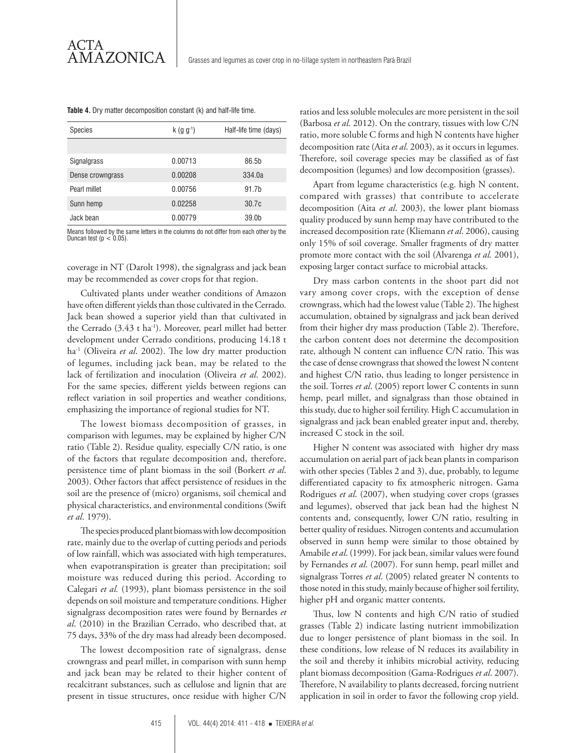| <b>Species</b>   | $k$ (g g <sup>-1</sup> ) | Half-life time (days) |
|------------------|--------------------------|-----------------------|
|                  |                          |                       |
| Signalgrass      | 0.00713                  | 86.5b                 |
| Dense crowngrass | 0.00208                  | 334.0a                |
| Pearl millet     | 0.00756                  | 91.7 <sub>b</sub>     |
| Sunn hemp        | 0.02258                  | 30.7c                 |
| Jack bean        | 0.00779                  | 39.0 <sub>b</sub>     |

**Table 4.** Dry matter decomposition constant (k) and half-life time.

Means followed by the same letters in the columns do not differ from each other by the Duncan test (p < 0.05).

coverage in NT (Darolt 1998), the signalgrass and jack bean may be recommended as cover crops for that region.

Cultivated plants under weather conditions of Amazon have often different yields than those cultivated in the Cerrado. Jack bean showed a superior yield than that cultivated in the Cerrado  $(3.43 \text{ t} \text{ ha}^{-1})$ . Moreover, pearl millet had better development under Cerrado conditions, producing 14.18 t ha-1 (Oliveira *et al*. 2002). The low dry matter production of legumes, including jack bean, may be related to the lack of fertilization and inoculation (Oliveira *et al*. 2002). For the same species, different yields between regions can reflect variation in soil properties and weather conditions, emphasizing the importance of regional studies for NT.

The lowest biomass decomposition of grasses, in comparison with legumes, may be explained by higher C/N ratio (Table 2). Residue quality, especially C/N ratio, is one of the factors that regulate decomposition and, therefore, persistence time of plant biomass in the soil (Borkert *et al*. 2003). Other factors that affect persistence of residues in the soil are the presence of (micro) organisms, soil chemical and physical characteristics, and environmental conditions (Swift *et al*. 1979).

The species produced plant biomass with low decomposition rate, mainly due to the overlap of cutting periods and periods of low rainfall, which was associated with high temperatures, when evapotranspiration is greater than precipitation; soil moisture was reduced during this period. According to Calegari *et al.* (1993), plant biomass persistence in the soil depends on soil moisture and temperature conditions. Higher signalgrass decomposition rates were found by Bernardes *et al*. (2010) in the Brazilian Cerrado, who described that, at 75 days, 33% of the dry mass had already been decomposed.

The lowest decomposition rate of signalgrass, dense crowngrass and pearl millet, in comparison with sunn hemp and jack bean may be related to their higher content of recalcitrant substances, such as cellulose and lignin that are present in tissue structures, once residue with higher C/N

ratios and less soluble molecules are more persistent in the soil (Barbosa *et al*. 2012). On the contrary, tissues with low C/N ratio, more soluble C forms and high N contents have higher decomposition rate (Aita *et al*. 2003), as it occurs in legumes. Therefore, soil coverage species may be classified as of fast decomposition (legumes) and low decomposition (grasses).

Apart from legume characteristics (e.g. high N content, compared with grasses) that contribute to accelerate decomposition (Aita *et al*. 2003), the lower plant biomass quality produced by sunn hemp may have contributed to the increased decomposition rate (Kliemann *et al*. 2006), causing only 15% of soil coverage. Smaller fragments of dry matter promote more contact with the soil (Alvarenga *et al.* 2001), exposing larger contact surface to microbial attacks.

Dry mass carbon contents in the shoot part did not vary among cover crops, with the exception of dense crowngrass, which had the lowest value (Table 2). The highest accumulation, obtained by signalgrass and jack bean derived from their higher dry mass production (Table 2). Therefore, the carbon content does not determine the decomposition rate, although N content can influence C/N ratio. This was the case of dense crowngrass that showed the lowest N content and highest C/N ratio, thus leading to longer persistence in the soil. Torres *et al*. (2005) report lower C contents in sunn hemp, pearl millet, and signalgrass than those obtained in this study, due to higher soil fertility. High C accumulation in signalgrass and jack bean enabled greater input and, thereby, increased C stock in the soil.

Higher N content was associated with higher dry mass accumulation on aerial part of jack bean plants in comparison with other species (Tables 2 and 3), due, probably, to legume differentiated capacity to fix atmospheric nitrogen. Gama Rodrigues *et al*. (2007), when studying cover crops (grasses and legumes), observed that jack bean had the highest N contents and, consequently, lower C/N ratio, resulting in better quality of residues. Nitrogen contents and accumulation observed in sunn hemp were similar to those obtained by Amabile *et al*. (1999). For jack bean, similar values were found by Fernandes *et al*. (2007). For sunn hemp, pearl millet and signalgrass Torres *et al*. (2005) related greater N contents to those noted in this study, mainly because of higher soil fertility, higher pH and organic matter contents.

Thus, low N contents and high C/N ratio of studied grasses (Table 2) indicate lasting nutrient immobilization due to longer persistence of plant biomass in the soil. In these conditions, low release of N reduces its availability in the soil and thereby it inhibits microbial activity, reducing plant biomass decomposition (Gama-Rodrigues *et al*. 2007). Therefore, N availability to plants decreased, forcing nutrient application in soil in order to favor the following crop yield.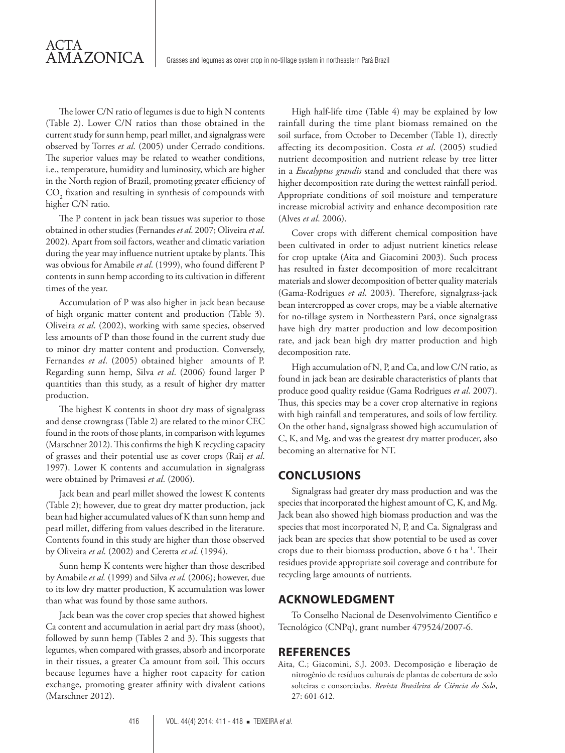The lower C/N ratio of legumes is due to high N contents (Table 2). Lower C/N ratios than those obtained in the current study for sunn hemp, pearl millet, and signalgrass were observed by Torres *et al*. (2005) under Cerrado conditions. The superior values may be related to weather conditions, i.e., temperature, humidity and luminosity, which are higher in the North region of Brazil, promoting greater efficiency of  $\mathrm{CO}_2$  fixation and resulting in synthesis of compounds with higher C/N ratio.

ACTA

**AMAZONICA** 

The P content in jack bean tissues was superior to those obtained in other studies (Fernandes *et al*. 2007; Oliveira *et al*. 2002). Apart from soil factors, weather and climatic variation during the year may influence nutrient uptake by plants. This was obvious for Amabile *et al*. (1999), who found different P contents in sunn hemp according to its cultivation in different times of the year.

Accumulation of P was also higher in jack bean because of high organic matter content and production (Table 3). Oliveira *et al*. (2002), working with same species, observed less amounts of P than those found in the current study due to minor dry matter content and production. Conversely, Fernandes *et al*. (2005) obtained higher amounts of P. Regarding sunn hemp, Silva *et al*. (2006) found larger P quantities than this study, as a result of higher dry matter production.

The highest K contents in shoot dry mass of signalgrass and dense crowngrass (Table 2) are related to the minor CEC found in the roots of those plants, in comparison with legumes (Marschner 2012). This confirms the high K recycling capacity of grasses and their potential use as cover crops (Raij *et al*. 1997). Lower K contents and accumulation in signalgrass were obtained by Primavesi *et al*. (2006).

Jack bean and pearl millet showed the lowest K contents (Table 2); however, due to great dry matter production, jack bean had higher accumulated values of K than sunn hemp and pearl millet, differing from values described in the literature. Contents found in this study are higher than those observed by Oliveira *et al*. (2002) and Ceretta *et al*. (1994).

Sunn hemp K contents were higher than those described by Amabile *et al.* (1999) and Silva *et al.* (2006); however, due to its low dry matter production, K accumulation was lower than what was found by those same authors.

Jack bean was the cover crop species that showed highest Ca content and accumulation in aerial part dry mass (shoot), followed by sunn hemp (Tables 2 and 3). This suggests that legumes, when compared with grasses, absorb and incorporate in their tissues, a greater Ca amount from soil. This occurs because legumes have a higher root capacity for cation exchange, promoting greater affinity with divalent cations (Marschner 2012).

High half-life time (Table 4) may be explained by low rainfall during the time plant biomass remained on the soil surface, from October to December (Table 1), directly affecting its decomposition. Costa *et al*. (2005) studied nutrient decomposition and nutrient release by tree litter in a *Eucalyptus grandis* stand and concluded that there was higher decomposition rate during the wettest rainfall period. Appropriate conditions of soil moisture and temperature increase microbial activity and enhance decomposition rate (Alves *et al*. 2006).

Cover crops with different chemical composition have been cultivated in order to adjust nutrient kinetics release for crop uptake (Aita and Giacomini 2003). Such process has resulted in faster decomposition of more recalcitrant materials and slower decomposition of better quality materials (Gama-Rodrigues *et al*. 2003). Therefore, signalgrass-jack bean intercropped as cover crops, may be a viable alternative for no-tillage system in Northeastern Pará, once signalgrass have high dry matter production and low decomposition rate, and jack bean high dry matter production and high decomposition rate.

High accumulation of N, P, and Ca, and low C/N ratio, as found in jack bean are desirable characteristics of plants that produce good quality residue (Gama Rodrigues *et al*. 2007). Thus, this species may be a cover crop alternative in regions with high rainfall and temperatures, and soils of low fertility. On the other hand, signalgrass showed high accumulation of C, K, and Mg, and was the greatest dry matter producer, also becoming an alternative for NT.

#### **CONCLUSIONS**

Signalgrass had greater dry mass production and was the species that incorporated the highest amount of C, K, and Mg. Jack bean also showed high biomass production and was the species that most incorporated N, P, and Ca. Signalgrass and jack bean are species that show potential to be used as cover crops due to their biomass production, above 6 t ha-1. Their residues provide appropriate soil coverage and contribute for recycling large amounts of nutrients.

#### **ACKNOWLEDGMENT**

To Conselho Nacional de Desenvolvimento Cientifico e Tecnológico (CNPq), grant number 479524/2007-6.

#### **REFERENCES**

Aita, C.; Giacomini, S.J. 2003. Decomposição e liberação de nitrogênio de resíduos culturais de plantas de cobertura de solo solteiras e consorciadas. *Revista Brasileira de Ciência do Solo*, 27: 601-612.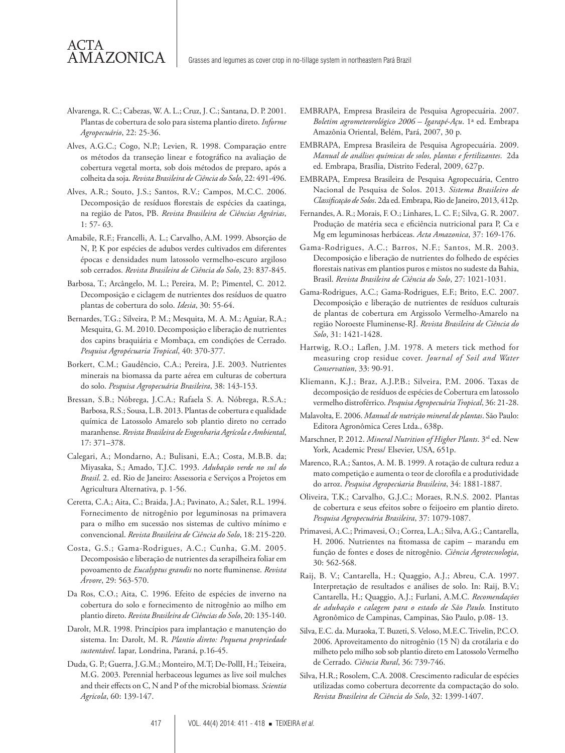Alvarenga, R. C.; Cabezas, W. A. L.; Cruz, J. C.; Santana, D. P. 2001. Plantas de cobertura de solo para sistema plantio direto. *Informe Agropecuário*, 22: 25-36.

ACTA

AMAZONICA

- Alves, A.G.C.; Cogo, N.P.; Levien, R. 1998. Comparação entre os métodos da transeção linear e fotográfico na avaliação de cobertura vegetal morta, sob dois métodos de preparo, após a colheita da soja. *Revista Brasileira de Ciência do Solo*, 22: 491-496.
- Alves, A.R.; Souto, J.S.; Santos, R.V.; Campos, M.C.C. 2006. Decomposição de resíduos florestais de espécies da caatinga, na região de Patos, PB. *Revista Brasileira de Ciências Agrárias*, 1: 57- 63.
- Amabile, R.F.; Francelli, A. L.; Carvalho, A.M. 1999. Absorção de N, P, K por espécies de adubos verdes cultivados em diferentes épocas e densidades num latossolo vermelho-escuro argiloso sob cerrados. *Revista Brasileira de Ciência do Solo*, 23: 837-845.
- Barbosa, T.; Arcângelo, M. L.; Pereira, M. P.; Pimentel, C. 2012. Decomposição e ciclagem de nutrientes dos resíduos de quatro plantas de cobertura do solo. *Idesia*, 30: 55-64.
- Bernardes, T.G.; Silveira, P. M.; Mesquita, M. A. M.; Aguiar, R.A.; Mesquita, G. M. 2010. Decomposição e liberação de nutrientes dos capins braquiária e Mombaça, em condições de Cerrado. *Pesquisa Agropécuaria Tropical*, 40: 370-377.
- Borkert, C.M.; Gaudêncio, C.A.; Pereira, J.E. 2003. Nutrientes minerais na biomassa da parte aérea em culturas de cobertura do solo. *Pesquisa Agropecuária Brasileira*, 38: 143-153.
- Bressan, S.B.; Nóbrega, J.C.A.; Rafaela S. A. Nóbrega, R.S.A.; Barbosa, R.S.; Sousa, L.B. 2013. Plantas de cobertura e qualidade química de Latossolo Amarelo sob plantio direto no cerrado maranhense. *Revista Brasileira de Engenharia Agrícola e Ambiental*, 17: 371–378.
- Calegari, A.; Mondarno, A.; Bulisani, E.A.; Costa, M.B.B. da; Miyasaka, S.; Amado, T.J.C. 1993. *Adubação verde no sul do Brasil*. 2. ed. Rio de Janeiro: Assessoria e Serviços a Projetos em Agricultura Alternativa, p. 1-56.
- Ceretta, C.A.; Aita, C.; Braida, J.A.; Pavinato, A.; Salet, R.L. 1994. Fornecimento de nitrogênio por leguminosas na primavera para o milho em sucessão nos sistemas de cultivo mínimo e convencional. *Revista Brasileira de Ciência do Solo*, 18: 215-220.
- Costa, G.S.; Gama-Rodrigues, A.C.; Cunha, G.M. 2005. Decomposisão e liberação de nutrientes da serapilheira foliar em povoamento de *Eucalyptus grandis* no norte fluminense. *Revista Árvore*, 29: 563-570.
- Da Ros, C.O.; Aita, C. 1996. Efeito de espécies de inverno na cobertura do solo e fornecimento de nitrogênio ao milho em plantio direto. *Revista Brasileira de Ciências do Solo*, 20: 135-140.
- Darolt, M.R. 1998. Princípios para implantação e manutenção do sistema. In: Darolt, M. R. *Plantio direto: Pequena propriedade sustentável*. Iapar, Londrina, Paraná, p.16-45.
- Duda, G. P.; Guerra, J.G.M.; Monteiro, M.T; De-PollI, H.; Teixeira, M.G. 2003. Perennial herbaceous legumes as live soil mulches and their effects on C, N and P of the microbial biomass*. Scientia Agricola*, 60: 139-147.
- EMBRAPA, Empresa Brasileira de Pesquisa Agropecuária. 2007. *Boletim agrometeorológico 2006 – Igarapé-Açu*. 1ª ed. Embrapa Amazônia Oriental, Belém, Pará, 2007, 30 p.
- EMBRAPA, Empresa Brasileira de Pesquisa Agropecuária. 2009. *Manual de análises químicas de solos, plantas e fertilizantes*. 2da ed. Embrapa, Brasília, Distrito Federal, 2009, 627p.
- EMBRAPA, Empresa Brasileira de Pesquisa Agropecuária, Centro Nacional de Pesquisa de Solos. 2013. *Sistema Brasileiro de Classificação de Solos*. 2da ed. Embrapa, Rio de Janeiro, 2013, 412p.
- Fernandes, A. R.; Morais, F. O.; Linhares, L. C. F.; Silva, G. R. 2007. Produção de matéria seca e eficiência nutricional para P, Ca e Mg em leguminosas herbáceas. *Acta Amazonica*, 37: 169-176.
- Gama-Rodrigues, A.C.; Barros, N.F.; Santos, M.R. 2003. Decomposição e liberação de nutrientes do folhedo de espécies florestais nativas em plantios puros e mistos no sudeste da Bahia, Brasil. *Revista Brasileira de Ciência do Solo*, 27: 1021-1031.
- Gama-Rodrigues, A.C.; Gama-Rodrigues, E.F.; Brito, E.C. 2007. Decomposição e liberação de nutrientes de resíduos culturais de plantas de cobertura em Argissolo Vermelho-Amarelo na região Noroeste Fluminense-RJ. *Revista Brasileira de Ciência do Solo*, 31: 1421-1428.
- Hartwig, R.O.; Laflen, J.M. 1978. A meters tick method for measuring crop residue cover. *Journal of Soil and Water Conservation*, 33: 90-91.
- Kliemann, K.J.; Braz, A.J.P.B.; Silveira, P.M. 2006. Taxas de decomposição de resíduos de espécies de Cobertura em latossolo vermelho distroférrico. *Pesquisa Agropecuária Tropical*, 36: 21-28.
- Malavolta, E. 2006. *Manual de nutrição mineral de plantas*. São Paulo: Editora Agronômica Ceres Ltda., 638p.
- Marschner, P. 2012. *Mineral Nutrition of Higher Plants*. 3rd ed. New York, Academic Press/ Elsevier, USA, 651p.
- Marenco, R.A.; Santos, A. M. B. 1999. A rotação de cultura reduz a mato competição e aumenta o teor de clorofila e a produtividade do arroz. *Pesquisa Agropecúaria Brasileira*, 34: 1881-1887.
- Oliveira, T.K.; Carvalho, G.J.C.; Moraes, R.N.S. 2002. Plantas de cobertura e seus efeitos sobre o feijoeiro em plantio direto. *Pesquisa Agropecuária Brasileira*, 37: 1079-1087.
- Primavesi, A.C.; Primavesi, O.; Correa, L.A.; Silva, A.G.; Cantarella, H. 2006. Nutrientes na fitomassa de capim – marandu em função de fontes e doses de nitrogênio. *Ciência Agrotecnologia*, 30: 562-568.
- Raij, B. V.; Cantarella, H.; Quaggio, A.J.; Abreu, C.A. 1997. Interpretação de resultados e análises de solo. In: Raij, B.V.; Cantarella, H.; Quaggio, A.J.; Furlani, A.M.C. *Recomendações de adubação e calagem para o estado de São Paulo.* Instituto Agronômico de Campinas, Campinas, São Paulo, p.08- 13.
- Silva, E.C. da. Muraoka, T. Buzeti, S. Veloso, M.E.C. Trivelin, P.C.O. 2006. Aproveitamento do nitrogênio (15 N) da crotálaria e do milheto pelo milho sob sob plantio direto em Latossolo Vermelho de Cerrado. *Ciência Rural*, 36: 739-746.
- Silva, H.R.; Rosolem, C.A. 2008. Crescimento radicular de espécies utilizadas como cobertura decorrente da compactação do solo. *Revista Brasileira de Ciência do Solo*, 32: 1399-1407.